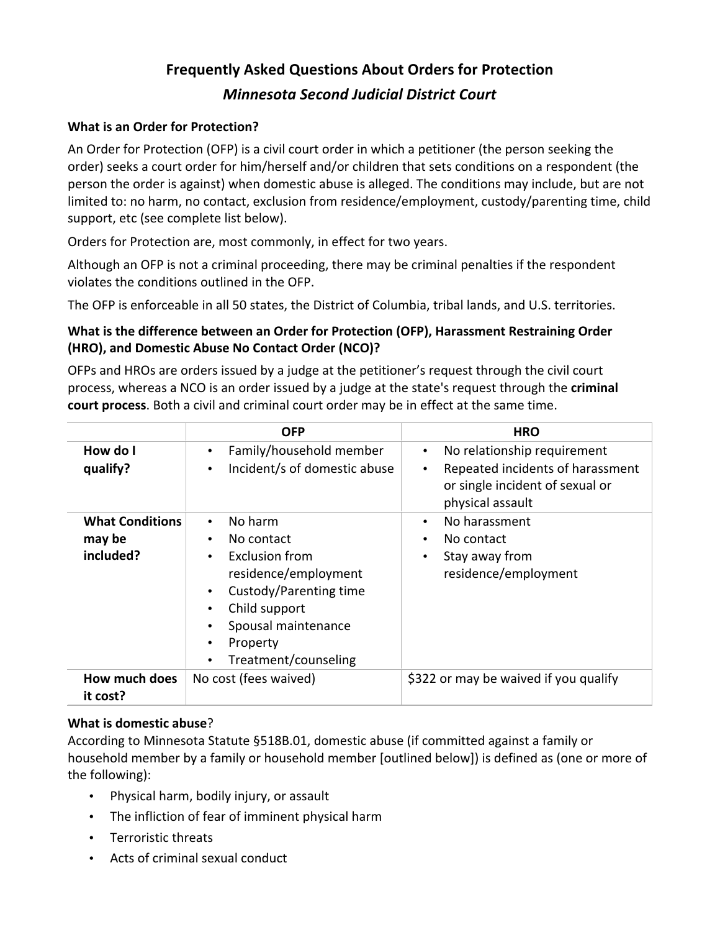# **Frequently
Asked
Questions
About
Orders
for
Protection** *Minnesota
Second
Judicial
District
Court*

# **What
is
an
Order
for
Protection?**

An Order for Protection (OFP) is a civil court order in which a petitioner (the person seeking the order) seeks a court order for him/herself and/or children that sets conditions on a respondent (the person
the
order
is
against)
when
domestic
abuse
is
alleged.
The
conditions
may
include,
but
are
not limited to: no harm, no contact, exclusion from residence/employment, custody/parenting time, child support,
etc
(see
complete
list
below).

Orders
for
Protection
are, most
commonly, in
effect
for two
years.

Although an OFP is not a criminal proceeding, there may be criminal penalties if the respondent violates
the
conditions
outlined
in
the
OFP.

The OFP is enforceable in all 50 states, the District of Columbia, tribal lands, and U.S. territories.

# What is the difference between an Order for Protection (OFP), Harassment Restraining Order **(HRO),
and
Domestic
Abuse
No
Contact
Order
(NCO)?**

OFPs and HROs are orders issued by a judge at the petitioner's request through the civil court process, whereas a NCO is an order issued by a judge at the state's request through the criminal court process. Both a civil and criminal court order may be in effect at the same time.

|                                               | <b>OFP</b>                                                                                                                                                                                             | <b>HRO</b>                                                                                                                                       |
|-----------------------------------------------|--------------------------------------------------------------------------------------------------------------------------------------------------------------------------------------------------------|--------------------------------------------------------------------------------------------------------------------------------------------------|
| How do I<br>qualify?                          | Family/household member<br>Incident/s of domestic abuse<br>$\bullet$                                                                                                                                   | No relationship requirement<br>$\bullet$<br>Repeated incidents of harassment<br>$\bullet$<br>or single incident of sexual or<br>physical assault |
| <b>What Conditions</b><br>may be<br>included? | No harm<br>$\bullet$<br>No contact<br><b>Exclusion from</b><br>$\bullet$<br>residence/employment<br>Custody/Parenting time<br>Child support<br>Spousal maintenance<br>Property<br>Treatment/counseling | No harassment<br>$\bullet$<br>No contact<br>٠<br>Stay away from<br>$\bullet$<br>residence/employment                                             |
| How much does<br>it cost?                     | No cost (fees waived)                                                                                                                                                                                  | \$322 or may be waived if you qualify                                                                                                            |

## **What
is
domestic
abuse**?

According
to
Minnesota
Statute
§518B.01,
domestic
abuse
(if
committed
against
a
family
or household member by a family or household member [outlined below]) is defined as (one or more of the
following):

- Physical
harm,
bodily
injury,
or
assault
- The infliction of fear of imminent physical harm
- Terroristic
threats
- Acts
of
criminal
sexual
conduct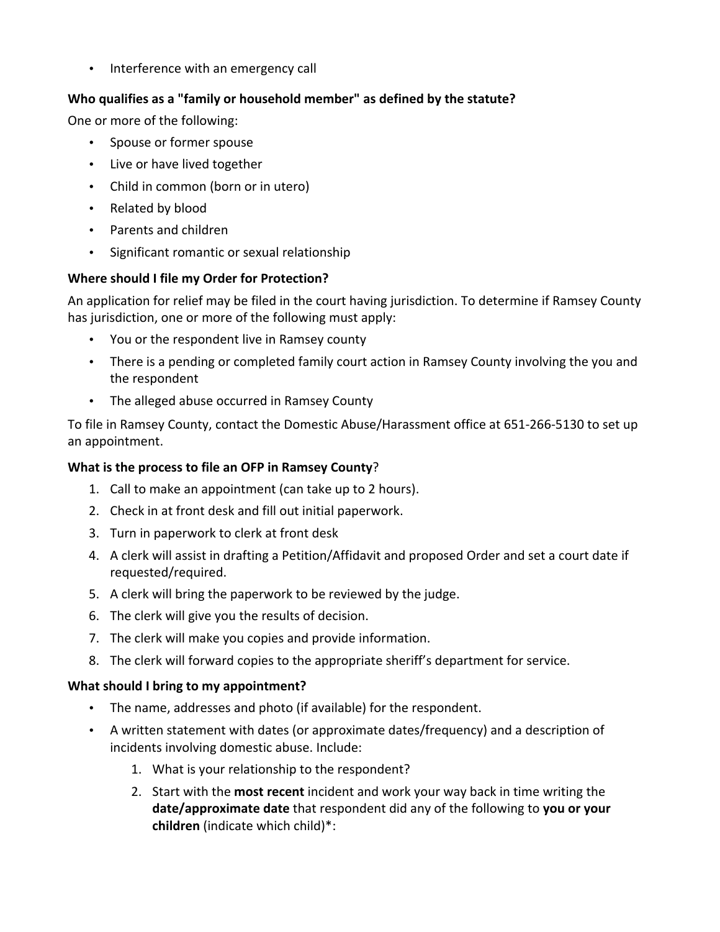• Interference with an emergency call

## Who qualifies as a "family or household member" as defined by the statute?

One
or
more
of
the
following:

- Spouse
or
former
spouse
- Live or have lived together
- Child in common (born or in utero)
- Related
by
blood
- Parents
and
children
- Significant romantic or sexual relationship

## **Where
should
I
file
my
Order
for
Protection?**

An application for relief may be filed in the court having jurisdiction. To determine if Ramsey County has jurisdiction, one or more of the following must apply:

- You or the respondent live in Ramsey county
- There is a pending or completed family court action in Ramsey County involving the you and the
respondent
- The
alleged
abuse
occurred
in
Ramsey
County

To file in Ramsey County, contact the Domestic Abuse/Harassment office at 651-266-5130 to set up an
appointment.

#### What is the process to file an OFP in Ramsey County?

- 1. Call to make an appointment (can take up to 2 hours).
- 2. Check
in
at
front
desk
and
fill
out
initial
paperwork.
- 3. Turn
in
paperwork
to
clerk
at
front
desk
- 4. A clerk will assist in drafting a Petition/Affidavit and proposed Order and set a court date if requested/required.
- 5. A
clerk
will
bring
the
paperwork
to
be
reviewed
by
the
judge.
- 6. The
clerk
will
give
you
the
results
of
decision.
- 7. The
clerk
will
make
you
copies
and
provide
information.
- 8. The clerk will forward copies to the appropriate sheriff's department for service.

#### What should I bring to my appointment?

- The name, addresses and photo (if available) for the respondent.
- A written statement with dates (or approximate dates/frequency) and a description of incidents involving domestic abuse. Include:
	- 1. What is your relationship to the respondent?
	- 2. Start with the **most recent** incident and work your way back in time writing the date/approximate date that respondent did any of the following to you or your **children**(indicate
	which
	child)\*: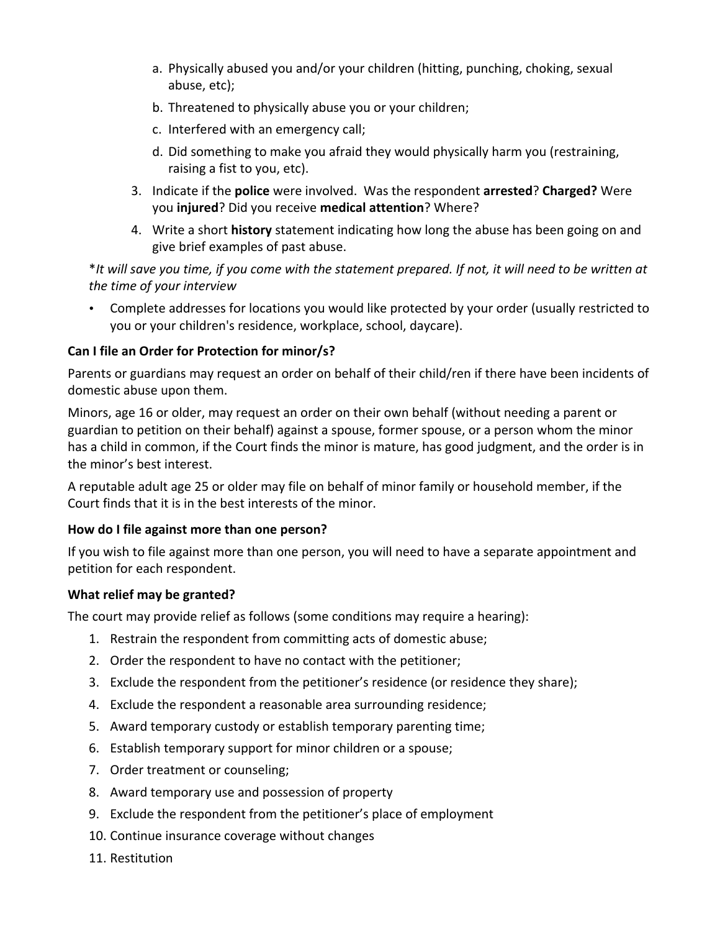- a. Physically abused you and/or your children (hitting, punching, choking, sexual abuse,
etc);
- b. Threatened
to
physically
abuse
you
or
your
children;
- c. Interfered
with
an
emergency
call;
- d. Did
something
to
make
you
afraid
they
would
physically
harm
you
(restraining, raising
a
fist
to
you,
etc).
- 3. Indicate
if
the **police**were
involved. Was
the
respondent **arrested**? **Charged?**Were you **injured**? Did you receive medical attention? Where?
- 4. Write a short **history** statement indicating how long the abuse has been going on and give
brief
examples
of
past
abuse.

\*It will save you time, if you come with the statement prepared. If not, it will need to be written at *the
time
of
your
interview*

• Complete addresses for locations you would like protected by your order (usually restricted to you
or
your
children's
residence,
workplace,
school,
daycare).

## **Can
I
file
an
Order
for
Protection
for
minor/s?**

Parents or guardians may request an order on behalf of their child/ren if there have been incidents of domestic
abuse
upon
them.

Minors, age 16 or older, may request an order on their own behalf (without needing a parent or guardian to petition on their behalf) against a spouse, former spouse, or a person whom the minor has a child in common, if the Court finds the minor is mature, has good judgment, and the order is in the
minor's
best
interest.

A reputable adult age 25 or older may file on behalf of minor family or household member, if the Court finds that it is in the best interests of the minor.

## **How
do
I
file
against
more
than
one
person?**

If you wish to file against more than one person, you will need to have a separate appointment and petition
for
each
respondent.

## What relief may be granted?

The court may provide relief as follows (some conditions may require a hearing):

- 1. Restrain
the
respondent
from
committing
acts
of
domestic
abuse;
- 2. Order
the
respondent
to
have
no
contact
with
the
petitioner;
- 3. Exclude
the
respondent
from
the
petitioner's
residence
(or
residence
they
share);
- 4. Exclude
the
respondent
a
reasonable
area
surrounding
residence;
- 5. Award
temporary
custody
or
establish
temporary
parenting
time;
- 6. Establish
temporary
support
for
minor
children
or
a
spouse;
- 7. Order
treatment
or
counseling;
- 8. Award
temporary
use
and
possession
of
property
- 9. Exclude
the
respondent
from
the
petitioner's
place
of
employment
- 10. Continue
insurance
coverage
without
changes
- 11. Restitution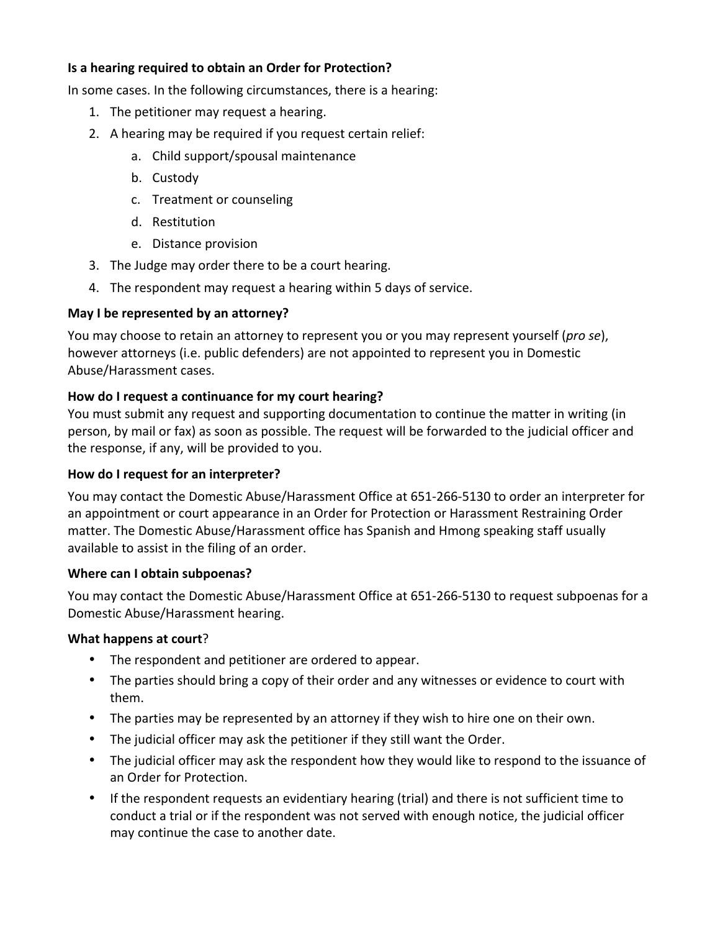## **Is
a
hearing
required
to
obtain
an
Order
for
Protection?**

In some cases. In the following circumstances, there is a hearing:

- 1. The
petitioner
may
request
a
hearing.
- 2. A
hearing
may
be
required
if
you
request
certain
relief:
	- a. Child
	support/spousal
	maintenance
	- b. Custody
	- c. Treatment
	or
	counseling
	- d. Restitution
	- e. Distance
	provision
- 3. The Judge may order there to be a court hearing.
- 4. The
respondent
may
request
a
hearing
within
5
days
of
service.

## **May
I
be
represented
by
an
attorney?**

You may choose to retain an attorney to represent you or you may represent yourself (pro se), however attorneys (i.e. public defenders) are not appointed to represent you in Domestic Abuse/Harassment
cases.

## **How
do
I
request
a
continuance
for
my
court
hearing?**

You must submit any request and supporting documentation to continue the matter in writing (in person,
by
mail
or
fax)
as
soon
as
possible.
The
request
will
be
forwarded
to
the
judicial
officer
and the
response,
if
any,
will
be
provided
to
you.

#### **How
do
I
request
for
an
interpreter?**

You
may
contact
the
Domestic
Abuse/Harassment
Office
at
651‐266‐5130
to
order
an
interpreter
for an appointment or court appearance in an Order for Protection or Harassment Restraining Order matter.
The
Domestic
Abuse/Harassment
office
has
Spanish
and
Hmong
speaking
staff
usually available to assist in the filing of an order.

#### **Where
can
I
obtain
subpoenas?**

You may contact the Domestic Abuse/Harassment Office at 651-266-5130 to request subpoenas for a Domestic
Abuse/Harassment
hearing.

#### **What
happens
at
court**?

- The respondent and petitioner are ordered to appear.
- The parties should bring a copy of their order and any witnesses or evidence to court with them.
- The parties may be represented by an attorney if they wish to hire one on their own.
- The judicial officer may ask the petitioner if they still want the Order.
- The judicial officer may ask the respondent how they would like to respond to the issuance of an
Order
for
Protection.
- If the respondent requests an evidentiary hearing (trial) and there is not sufficient time to conduct a trial or if the respondent was not served with enough notice, the judicial officer may
continue
the
case
to
another
date.